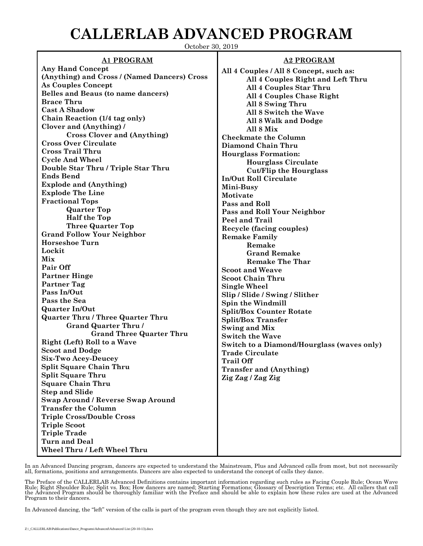## **CALLERLAB ADVANCED PROGRAM**

October 30, 2019

## **A1 PROGRAM**

**Any Hand Concept (Anything) and Cross / (Named Dancers) Cross As Couples Concept Belles and Beaus (to name dancers) Brace Thru Cast A Shadow Chain Reaction (1/4 tag only) Clover and (Anything) / Cross Clover and (Anything) Cross Over Circulate Cross Trail Thru Cycle And Wheel Double Star Thru / Triple Star Thru Ends Bend Explode and (Anything) Explode The Line Fractional Tops Quarter Top Half the Top Three Quarter Top Grand Follow Your Neighbor Horseshoe Turn Lockit Mix Pair Off Partner Hinge Partner Tag Pass In/Out Pass the Sea Quarter In/Out Quarter Thru / Three Quarter Thru Grand Quarter Thru / Grand Three Quarter Thru Right (Left) Roll to a Wave Scoot and Dodge Six-Two Acey-Deucey Split Square Chain Thru Split Square Thru Square Chain Thru Step and Slide Swap Around / Reverse Swap Around Transfer the Column Triple Cross/Double Cross Triple Scoot Triple Trade Turn and Deal Wheel Thru / Left Wheel Thru**

## **A2 PROGRAM**

**All 4 Couples / All 8 Concept, such as: All 4 Couples Right and Left Thru All 4 Couples Star Thru All 4 Couples Chase Right All 8 Swing Thru All 8 Switch the Wave All 8 Walk and Dodge All 8 Mix Checkmate the Column Diamond Chain Thru Hourglass Formation: Hourglass Circulate Cut/Flip the Hourglass In/Out Roll Circulate Mini-Busy Motivate Pass and Roll Pass and Roll Your Neighbor Peel and Trail Recycle (facing couples) Remake Family Remake Grand Remake Remake The Thar Scoot and Weave Scoot Chain Thru Single Wheel Slip / Slide / Swing / Slither Spin the Windmill Split/Box Counter Rotate Split/Box Transfer Swing and Mix Switch the Wave Switch to a Diamond/Hourglass (waves only) Trade Circulate Trail Off Transfer and (Anything) Zig Zag / Zag Zig**

In an Advanced Dancing program, dancers are expected to understand the Mainstream, Plus and Advanced calls from most, but not necessarily all, formations, positions and arrangements. Dancers are also expected to understand the concept of calls they dance.

The Preface of the CALLERLAB Advanced Definitions contains important information regarding such rules as Facing Couple Rule; Ocean Wave<br>Rule; Right Shoulder Rule; Split vs. Box; How dancers are named; Starting Formations; the Advanced Program should be thoroughly familiar with the Preface and should be able to explain how these rules are used at the Advanced Program to their dancers.

In Advanced dancing, the "left" version of the calls is part of the program even though they are not explicitly listed.